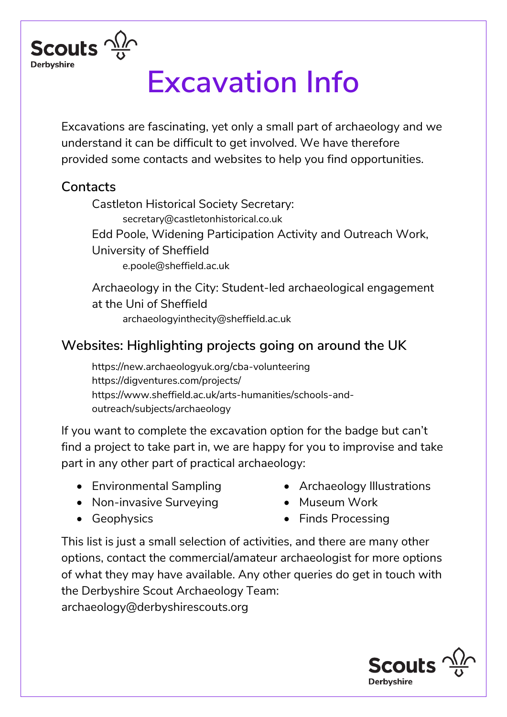

# **Excavation Info**

Excavations are fascinating, yet only a small part of archaeology and we understand it can be difficult to get involved. We have therefore provided some contacts and websites to help you find opportunities.

### **Contacts**

Castleton Historical Society Secretary: secretary@castletonhistorical.co.uk Edd Poole, Widening Participation Activity and Outreach Work, University of Sheffield [e.poole@sheffield.ac.uk](mailto:e.poole@sheffield.ac.uk)

Archaeology in the City: Student-led archaeological engagement at the Uni of Sheffield archaeologyinthecity@sheffield.ac.uk

## **Websites: Highlighting projects going on around the UK**

https://new.archaeologyuk.org/cba-volunteering https://digventures.com/projects/ [https://www.sheffield.ac.uk/arts-humanities/schools-and](https://www.sheffield.ac.uk/arts-humanities/schools-and-)outreach/subjects/archaeology

If you want to complete the excavation option for the badge but can't find a project to take part in, we are happy for you to improvise and take part in any other part of practical archaeology:

- Environmental Sampling
- Archaeology Illustrations
- Non-invasive Surveying
- Geophysics

• Museum Work • Finds Processing

This list is just a small selection of activities, and there are many other options, contact the commercial/amateur archaeologist for more options of what they may have available. Any other queries do get in touch with the Derbyshire Scout Archaeology Team: archaeology@derbyshirescouts.org